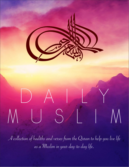

A collection of hadiths and verses from the Quran to help you live life as a Muslim in your day-to-day life.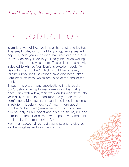# I N T R O D U C T I O N

Islam is a way of life. You'll hear that a lot, and it's true. This small collection of hadiths and Quran verses will hopefully help you in realizing that Islam can be a part of every action you do in your daily life—even waking up or going to the washroom. This collection is heavily indebted to Ahmed Von Denfer's excellent book, "A Day with The Prophet", which should be on every Muslim's bookshelf. Selections have also been taken from other sources, which are listed at the end of the book.

Though there are many supplications in this book, don't rush into trying to memorize or do them all at once. Stick with a few, then work on building them into your daily routine, then add more as you feel more comfortable. Moderation, as you'll see later, is essential in religion. Hopefully, too, you'll learn more about Prophet Muhammad (peace be upon him) and see him not only as a Prophet and historical figure, but also from the perspective of man who spent every moment of his daily life remembering God.

May Allah accept all our daily actions, and forgive us for the mistakes and sins we commit.

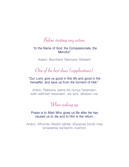### Before starting any action

 **"In the Name of God, the Compassionate, the Merciful"**

Arabic: Bismillahir Rahmanir Raheem

One of the best duas (supplications)

**"Our Lord, give us good in this life and good in the hereafter, and save us from the torment of Hell."**

Arabic: Rabbana aatina fid-dunya hasanatan, wafil-aakhirati hasanatan, wa qina 'athaban-nar.

## When waking up

### **Praise is to Allah Who gives us life after He has caused us to die and to Him is the return.**

Arabic: Alhumdu lillaahil-lathee 'ahyaanaa ba'da maa 'amaatanaa wa'ilayhin-nushoor.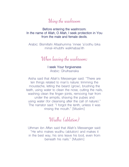### Using the washroom

**Before entering the washroom: In the name of Allah, O Allah, I seek protection in You from the male and female devils.**

Arabic: Bismillahi Allaahumma 'innee 'a'oothu bika minal-khubthi walkhabaa'ith

### When leaving the washroom:

**I seek Your forgiveness** Arabic: Ghufraanaka

Aisha said that Allah's Messenger said: "There are ten things related to man's nature: trimming the moustache, letting the beard (grow), brushing the teeth, using water to clean the nose, cutting the nails, washing clean the finger-joints, removing hair from under the armpits, shaving the pubes and using water (for cleansing after the call of nature)." The narrator said: "I forgot the tenth, unless it was rinsing the mouth." [Muslim]

### Wudhu (ablution)

Uthman ibn Affan said that Allah's Messenger said: "He who makes wudhu (ablution) and makes it in the best way, his sins leave his bod, even from beneath his nails." [Muslim]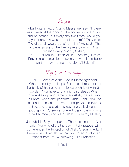### Prayers

Abu Huraira heard Allah's Messenger say: "If there was a river at the door of (the house of) one of you, and he bathed in it every day five times, would you say that any dirt would be left on him?" They said: "No dirt at all would be left on him." He said: "That is the example of the five prayers by which Allah washes away sins." [Bukhari] From Abdullah ibn Umar: Allah's Messenger said: "Prayer in congregation is twenty-seven times better than the prayer performed alone."[Bukhari]

# Fajr (morning) prayer

Abu Hurairah said that God's Messenger said: "When one of you sleeps, Satan ties three knots at the back of his neck, and closes each knot with (the words): 'You have a long night, so sleep'. When one wakes up and remembers Allah, the first knot is unties; when one performs wudhu (ablution), the second is untied; and when one prays, the third is unties; and one starts the day energetically and in good spirits. Otherwise, one will begin the morning in bad humour, and full of sloth." [Bukarhi, Muslim]

Jundub bin Sufyan reported: The Messenger of Allah said, "He who offers the dawn (Fajr) prayers will come under the Protection of Allah. O son of Adam! Beware, lest Allah should call you to account in any respect from (for withdrawing) His Protection."

[Muslim]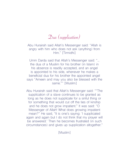### Dua (supplication)

Abu Hurairah said Allah's Messenger said: "Allah is angry with him who does not ask (anything) from Him." [Tirmidhi]

Umm Darda said that Allah's Messenger said: "… the dua of a Muslim for his brother (in Islam) in his absence is readily accepted, and an angel is appointed to his side, whenever he makes a beneficial dua for his brother the appointed angel says "Ameen and may you also be blessed with the same."" [Muslim]

Abu Hurairah said that Allah's Messenger said: ""The supplication of a slave continues to be granted as long as he does not supplicate for a sinful thing or for something that would cut off the ties of kinship and he does not grow impatient." It was said: "O Messenger of Allah! What does growing impatient mean?" He said, "It is one's saying: 'I supplicated again and again but I do not think that my prayer will be answered.' Then he becomes frustrated (in such circumstances) and gives up supplication altogether."

[Muslim]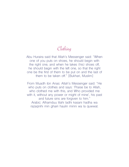### Clothing

Abu Huraira said that Allah's Messenger said: "When one of you puts on shoes, he should begin with the right one, and when he takes (his) shoes off, he should begin with the left one, so that the right one be the first of them to be put on and the last of them to be taken off." [Bukhari, Muslim]

From Muadh ibn Anas: Allah's Messenger said: "He who puts on clothes and says: 'Praise be to Allah, who clothed me with this, and Who provided me with it, without any power or might of mine', his past and future sins are forgiven to him." Arabic: Alhamduu lilahi ladhi kasani hadha wa razaqnihi min ghairi haulin minni wa la quwwat.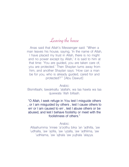### Leaving the house

Anas said that Allah's Messenger said: "When a man leaves his house, saying, 'In the name of Allah, I have placed my trust in Allah, there is no might and no power except by Allah,' it is said to him at that time: 'You are guided, you are taken care of, you are protected.' Then Shaytan turns away from him, and another Shaytan says: 'How can a man be for you, who is already guided, cared for and protected?'" [Abu Dawud]

Arabic:

Bismillaahi, tawakkaltu 'alallahi, wa laa hawla wa laa quwwata 'illah billaah.

**"O Allah, I seek refuge in You lest I misguide others , or I am misguided by others , lest I cause others to err or I am caused to err , lest I abuse others or be abused, and lest I behave foolishly or meet with the foolishness of others."**

Arabic:

 Allaahumma 'innee 'a'oothu bika 'an 'adhilla, 'aw 'udhalla, 'aw 'azilla, 'aw 'uzalla, 'aw 'adhlima, 'aw 'udhlama, 'aw 'ajhala 'aw yujhala 'alayya.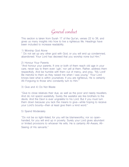### General conduct

This section is taken from Surah 17 of the Qur'an, verses 22 to 38, and gives us many insights into how to live a righteous life. Headings have been included to increase readability.

#### 1) Worship God Alone

" Do not set up any other god with God, or you will end up condemned, abandoned. Your Lord has decreed that you worship none but Him."

#### 2) Honour Your Parents

"And honour your parents. If one or both of them reach old age in your care, never say to them even 'ugh,' nor yell at them. Rather, address them respectfully. And be humble with them out of mercy, and pray, "My Lord! Be merciful to them as they raised me when I was young." Your Lord knows best what is within yourselves. If you are righteous, He is certainly All-Forgiving to those who constantly turn to Him."

#### 3) Give and 4) Do Not Waste

"Give to close relatives their due, as well as the poor and needy travellers. And do not spend wastefully. Surely the wasteful are like brothers to the devils. And the Devil is ever ungrateful to his Lord. But if you must turn them down because you lack the means to give—while hoping to receive your Lord's bounty—then at least give them a kind word."

#### 5) Spend Moderately

"Do not be so tight-fisted, for you will be blameworthy; nor so openhanded, for you will end up in poverty. Surely your Lord gives abundant or limited provisions to whoever He wills. He is certainly All-Aware, All-Seeing of His servants."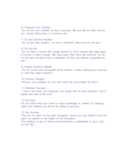#### 6) Treasure Your Children

"Do not kill your children for fear of poverty. We provide for them and for you. Surely killing them is a heinous sin."

#### 7) Do Not Commit Adultery

"Do not go near adultery. It is truly a shameful deed and an evil way."

#### 8) Do Not Kill

"Do not take a human life—made sacred by God—except with legal right. If anyone is killed unjustly, We have given their heirs the authority, but do not let them exceed limits in retaliation, for they are already supported by law."

#### 9) Protect Orphan's Wealth

"Do not come near the wealth of the orphan—unless intending to enhance it—until they attain maturity."

#### 10) Honour Pledges

"Honour your pledges, for you will surely be accountable for them."

#### 11) Maintain Fairness

" Give in full when you measure, and weigh with an even balance. That is fairest and best in the end."

#### 12) Be Sure

Do not follow what you have no sure knowledge of. Indeed, for hearing, sight, and intellect you will all be called to account.

#### 13) Be Humble

"And do not walk on the earth arrogantly. Surely you can neither crack the earth nor stretch to the height of the mountains.

The violation of any of these commandments is detestable to your Lord." [17:22-38]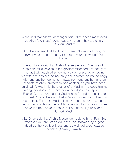### Aisha said that Allah's Messenger said: "The deeds most loved by Allah (are those) done regularly, even if they are small." [Bukhari, Muslim]

Abu Huraira said that the Prophet said: "Beware of envy, for envy devours good (deeds) like fire devours firewood." [Abu Dawud<sup>1</sup>

Abu Huraira said that Allah's Messenger said: "Beware of suspicion, for suspicion is the greatest falsehood. Do not try to find fault with each other, do not spy on one another, do not vie with one another, do not envy one another, do not be angry with one another, do not turn away from one another, and be servants of Allah, brothers to one another, as you have been enjoined. A Muslim is the brother of a Muslim—he does him no wrong, nor does he let him down; nor does he despise him. Fear of God is here, fear of God is here," –and he pointed to his chest. "It is evil enough that a Muslim should look down on his brother. For every Muslim is sacred to another—his blood, his honour and his property. Allah does not look at your bodies or your forms, or your deeds, but he looks at your hearts." [Bukhari, Muslim]

Abu Dharr said that Allah's Messenger said to him: "Fear God wherever you are; let an evil deed (be) followed by a good deed so that you blot it out; and be well-behaved towards people." [Ahmad, Tirmidhi]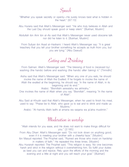Speech

"Whether you speak secretly or openly—He surely knows best what is hidden in the heart." [67:13]

Abu Huraira said that Allah's Messenger said: "He who truly believes in Allah and the Last Day should speak good or keep silent." [Bukhari, Muslim]

Abdullah ibn Amr ibn al-As said that Allah's Messenger never used obscene talk nor did he listen to it. [Bukhari, Muslim]

From Sufyan ibn Asad al-Hadrami: I heard Allah's Messenger say: "It is great treachery that you tell your brother something he accepts as truth from you, but you are lying." [Abu Dawud]

Eating and Drinking

From Salman: Allah's Messenger said: "The blessing of food is (received by) washing (the hands) before and washing (the hands) after (taking) it." [Tirmidhi]

Aisha said that Allah's Messenger said: "When any one of you eats, he should invoke the name of Allah the Exalted. If he forgets to invoke the name of Allah the exalted at the beginning, he should say: 'In the name of Allah, in its beginning and its end.'"

Arabic: "Bismillahi awwalahu wa akhirahu."

One invokes the name of Allah when you say "Bismillah", meaning "In the name of Allah".

Abu Said al-Khudri said that Allah's Messenger, when he used to finish his meal, used to say: "Praise be to Allah, who gave us to eat and to drink and made us Muslims."

Arabic: "Al-hamdu lillahi ladhi at amana wa saqana wa ja'alna muslimin."

### Moderation in worship

"Allah intends for you ease, and He does not want to make things difficult for you." [2:185]

From Abu Dharr: Allah's Messenger said: "Do not look down on anything good, even if it is meeting your brother with a cheerful face." [Muslim]

Ibn Masud reported: The Prophet said, "Ruined are those who insist on hardship in matters of faith." He repeated this three times. [Muslim]

Abu Hurairah reported: The Prophet said, "This religion is easy. No one becomes harsh and strict in the religion without it overwhelming him. So fulfill your duties as best you can and rejoice. Rely upon the efforts of the morning and the evening and a little at night and you will reach your goal." [Bukhari]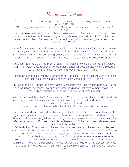### Patience and hardship

"O believers! Seek comfort in patience and prayer. God is certainly with those who are patient." [2:153]

"So, surely with hardship comes ease. Surely with that hardship comes more ease." [94:5-6]

"…And whoever is mindful of God, He will make a way out for them, and provide for them from sources they could never imagine. And whoever puts their trust in God, then He is sufficient for them. Certainly God achieves His Will. God has already set a destiny for everything." [65:2-3]

Umm Salamah said that the Messenger of Allah said: "If any servant (of Allah) who suffers a calamity says: "We belong to Allah and to Him shall we return; O Allah, reward me for my affliction and give me something better than it in exchange for it," ' Allah will give him reward for affliction, and would give him something better than it in exchange." [Muslim]

Anas ibn Malik said that The Prophet said: "The greatest reward comes with the greatest trial. When Allah loves a people He tests them. Whoever accepts that wins His pleasure but whoever is discontent with that earns His wrath." [Tirmidhi]

Musad ibn Saeed said that The Messenger of Allah said: "The servant will continue to be tried until he is left walking upon the earth without any sin." [Tirmidhi]

Abu Sa'id and Abu Huraira said that Allah's Messenger said: "No trouble befalls a Muslim, and no illness, no sorrow, no grief, no harm, no distress, not even a thorn pricks him, without Allah expiating by it (some) of his sins." [Bukhari, Muslim]

Abu Hurairah said that Allah's Messenger said: "Allah, may He be glorified and exalted, will forgive my ummah for whatever crosses their minds so long as they do not act upon it or speak of it." [Bukhari, Muslim]

"Ummah" is a word that usually refers to the Muslim community as a whole.

Abdullah ibn Masud said that the Messenger of Allah said: ""whoever was afflicted with grief and distress and says (see the following dua below), Allah, the Exalted and Ever-Majestic, will remove his grief and will change his sorrow into happiness." It was said, "O Messenger of Allah! (Do) we have to learn these words?" He said, "Yes, whoever hears them should learn them."

"O Allah, I am Your slave and the son of your male slave and the son of your female slave. My forehead is in Your Hand. Your Judgment upon me is assured and Your Decree concerning me is just. I ask you b every Name that You have named yourself with, revealed in Your Book, taught to any one of Your creation or kept unto Yourself in the knowledge of the unseen that is with You, to make the Qur'an the spring of my heart, and the light of my chest, the banisher of my sadness and the reliever of my distress." [Ahmad] The phrase "My forehead is in Your Hand" can be interpreted as "You have control over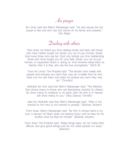Asr prayer

Ibn Umar said that Allah's Messenger said: "He who leaves the Asr prayer is like one who has lost (some of) his family and property." [Ibn Maja]

Dealing with others

"God does not forbid you from dealing kindly and fairly with those who have neither fought nor driven you out of your homes. Surely God loves those who are fair. God only forbids you from befriending those who have fought you for your faith, driven you out of your homes, or supported others in doing so. And whoever takes them as friends, then it is they who are the true wrongdoers." [60:8-9]

From Ibn Umar: The Prophet said: "The Muslim who meets with people and endures any harm they may do is better than he who does not mix with them and does not endure any harm they may do." [Tirmidhi]

Abdullah ibn Amr said that Allah's Messenger said: "The Merciful One shows mercy to those who are themselves merciful (to others). So show mercy to whatever is on earth, then He who is in heaven will show mercy to you." [Abu Dawud, Tirmidhi]

Jabir ibn Abdullah said that Allah's Messenger said: "Allah is not merciful to him who is not merciful to people." [Bukhari, Muslim]

From Anas: Allah's Messenger said: "By Him in whose hand is my soul, a servant (of Allah) does not believe (truly) until he likes for his brother what he likes for himself." [Bukhari, Muslim]

From Anas: The Prophet said: "Make things easy, do not make them difficult, and give good tidings and do not make people run away." [Bukhari]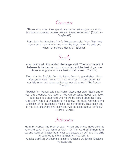### Commerce

"Those who, when they spend, are neither extravagant nor stingy, but take a balanced course between those (extremes)." [Sûrah al-Furqân: 67]

From Jabir ibn Abdullah: Allah's Messenger said: "May Allay have mercy on a man who is kind when he buys, when he sells and when he makes a demand." [Bukhari]

Family

Abu Huraira said that Allah's Messenger said: "The most perfect of believers is the best of you in character; and the best of you are those among you who are best to their wives." [Tirmidhi]

From Amr ibn Shu'aib, from his father, from his grandfather: Allah's Messenger said: "He is not of us who has no compassion for our little ones and does not honour our old ones." [Abu Dawud, Tirmidhi]

Abdullah ibn Masud said that Allah's Messenger said: "Each one of you is a shepherd. And each of you will be asked about your flock. A ruler also is a shepherd and he will be asked about his flock. And every man is a shepherd to his family. And every woman is the custodian of her husband's house and his children. Thus each one of you is a shepherd and each one will be asked about his flock." [Bukhari, Muslim]

### Intercourse

From Ibn Abbas: The Prophet said: "When one of you goes unto his wife and says: 'In the name of Allah – O Allah ward off Shaitan from us, and ward off Shaitan from what you bestow on us!" and if a child is destined to them, Shaitan will not harm it."

Arabic: Bismillah, Allahumma jannibna Shaitana wa jannibi Shaitana ma razaqtana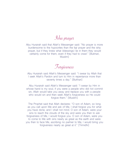Isha prayer

Abu Hurairah said that Allah's Messenger said: "No prayer is more burdensome to the hypocrites than the fajr prayer and the isha prayer, but if they knew what (blessings) lie in them they would certainly come for them, even if they had to crawl." [Bukhari, Muslim]

Forgiveness

Abu Hurairah said Allah's Messenger said: "I swear by Allah that I seek Allah's Pardon and turn to Him in repentance more than seventy times a day." [Bukhari]

Abu Hurairah said Allah's Messenger said: "I swear by Him in whose hand is my soul, if you were a people who did not commit sin, Allah would take you away and replace you with a people who would sin and then seek Allah's forgiveness so He could forgive them." [Muslim]

The Prophet said that Allah declares: "O son of Adam, so long as you call upon Me and ask of Me, I shall forgive you for what you have done, and I shall not mind. O son of Adam, were your sins to reach the clouds of the sky and were you then to ask forgiveness of Me, I would forgive you. O son of Adam, were you to come to Me with sins nearly as great as the earth and were you then to face Me, ascribing no partner to Me, I would bring you forgiveness nearly as great at it." [Tirmidhi]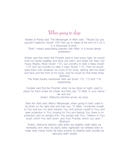### When going to sleep

Nawfal al-Ashja said: The Messenger of Allah said: ""Recite Qul yaa ayyuha'l-kaafiroon (Surah 109) then go to sleep at the end of it, for it is a disavowal of shirk."

"Shirk" means associating partners with Allah; in a broad sense, polytheism.

Aishah said that when the Prophet went to bed every night, he would hold his hands together and blow into them, and recite into them Qul Huwa Allaahu Ahad (Surah 112), Qul a'oodhu bi rabb il-falaq (Surah 113) and Qul a'oodhu bi rabb il-naas (Surah 114). Then he would wipe them over whatever he could of his body, starting with his head and face and the front of his body, and he would do that three times. [Bukhari]

The three Surahs mentioned here are Surah 112, 113 and 114, respectively.

Hudaifa said that the Prophet, when he lay down at night, used to place his hand under his cheek and then say: "O Allah, in your name I die and live."

Arabic: Allahuma bismika amutu wa ahya.

Bara ibn Azib said: Allah's Messenger, when going to bed, used to lie down on his right side and then say: "O Allah, I surrender myself to You and turn my face towards You, and entrust myself to You, and seek protection in You, longing for You and fearing You; there is no protection and no escape from You except with You. I believe in Your book, which You sent down, and Your Prophet, whom you sent…" [Bukhari]

Arabic: Allahuma aslamtu nafsi ilaika wa wajjahtu wajhi ilaika wa fawwadtu amri ilaika wa alja'tu ilaika raghbatan wa rahbata ilaika la malja wala manja minka illa ilaika amantu bi kitabika ladhi anzalta wa nabiyyika ladhi arsalta